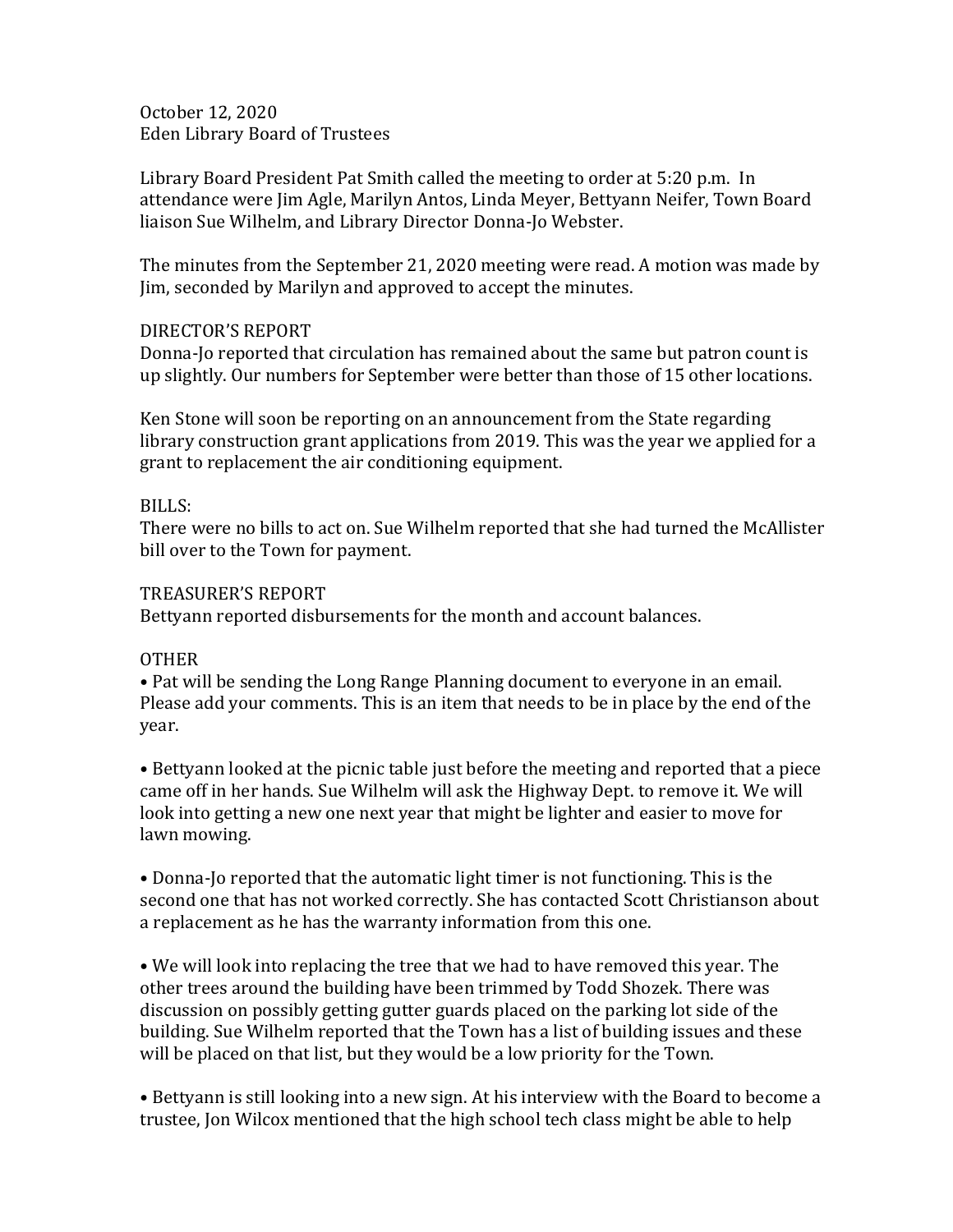October 12, 2020 Eden Library Board of Trustees

Library Board President Pat Smith called the meeting to order at 5:20 p.m. In attendance were Jim Agle, Marilyn Antos, Linda Meyer, Bettyann Neifer, Town Board liaison Sue Wilhelm, and Library Director Donna-Jo Webster.

The minutes from the September 21, 2020 meeting were read. A motion was made by Jim, seconded by Marilyn and approved to accept the minutes.

## DIRECTOR'S REPORT

Donna-Jo reported that circulation has remained about the same but patron count is up slightly. Our numbers for September were better than those of 15 other locations.

Ken Stone will soon be reporting on an announcement from the State regarding library construction grant applications from 2019. This was the year we applied for a grant to replacement the air conditioning equipment.

## BILLS:

There were no bills to act on. Sue Wilhelm reported that she had turned the McAllister bill over to the Town for payment.

## TREASURER'S REPORT

Bettyann reported disbursements for the month and account balances.

## **OTHER**

• Pat will be sending the Long Range Planning document to everyone in an email. Please add your comments. This is an item that needs to be in place by the end of the year.

• Bettyann looked at the picnic table just before the meeting and reported that a piece came off in her hands. Sue Wilhelm will ask the Highway Dept. to remove it. We will look into getting a new one next year that might be lighter and easier to move for lawn mowing.

• Donna-Jo reported that the automatic light timer is not functioning. This is the second one that has not worked correctly. She has contacted Scott Christianson about a replacement as he has the warranty information from this one.

• We will look into replacing the tree that we had to have removed this year. The other trees around the building have been trimmed by Todd Shozek. There was discussion on possibly getting gutter guards placed on the parking lot side of the building. Sue Wilhelm reported that the Town has a list of building issues and these will be placed on that list, but they would be a low priority for the Town.

• Bettyann is still looking into a new sign. At his interview with the Board to become a trustee, Jon Wilcox mentioned that the high school tech class might be able to help